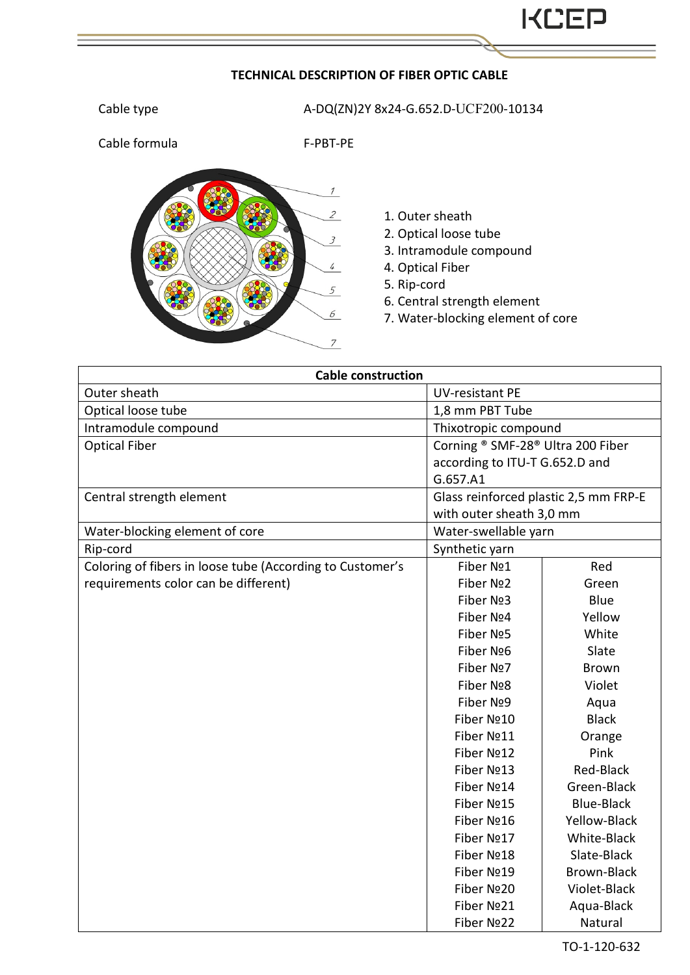## **TECHNICAL DESCRIPTION OF FIBER OPTIC CABLE**

Cable type  $A-DQ(ZN)$ 2Y 8x24-G.652.D-UCF200-10134

Cable formula F-PBT-PE



## 1. Outer sheath

- 2. Optical loose tube
- 3. Intramodule compound
- 4. Optical Fiber
- 5. Rip-cord
- 6. Central strength element
- 7. Water-blocking element of core

| <b>Cable construction</b>                                 |                                       |                    |  |
|-----------------------------------------------------------|---------------------------------------|--------------------|--|
| Outer sheath                                              | UV-resistant PE                       |                    |  |
| Optical loose tube                                        | 1,8 mm PBT Tube                       |                    |  |
| Intramodule compound                                      | Thixotropic compound                  |                    |  |
| <b>Optical Fiber</b>                                      | Corning ® SMF-28® Ultra 200 Fiber     |                    |  |
|                                                           | according to ITU-T G.652.D and        |                    |  |
|                                                           | G.657.A1                              |                    |  |
| Central strength element                                  | Glass reinforced plastic 2,5 mm FRP-E |                    |  |
|                                                           | with outer sheath 3,0 mm              |                    |  |
| Water-blocking element of core                            | Water-swellable yarn                  |                    |  |
| Rip-cord                                                  | Synthetic yarn                        |                    |  |
| Coloring of fibers in loose tube (According to Customer's | Fiber Nº1                             | Red                |  |
| requirements color can be different)                      | Fiber Nº2                             | Green              |  |
|                                                           | Fiber Nº3                             | Blue               |  |
|                                                           | Fiber Nº4                             | Yellow             |  |
|                                                           | Fiber Nº5                             | White              |  |
|                                                           | Fiber Nº6                             | Slate              |  |
|                                                           | Fiber Nº7                             | <b>Brown</b>       |  |
|                                                           | Fiber Nº8                             | Violet             |  |
|                                                           | Fiber Nº9                             | Aqua               |  |
|                                                           | Fiber Nº10                            | <b>Black</b>       |  |
|                                                           | Fiber Nº11                            | Orange             |  |
|                                                           | Fiber Nº12                            | Pink               |  |
|                                                           | Fiber Nº13                            | Red-Black          |  |
|                                                           | Fiber Nº14                            | Green-Black        |  |
|                                                           | Fiber Nº15                            | <b>Blue-Black</b>  |  |
|                                                           | Fiber Nº16                            | Yellow-Black       |  |
|                                                           | Fiber Nº17                            | White-Black        |  |
|                                                           | Fiber Nº18                            | Slate-Black        |  |
|                                                           | Fiber Nº19                            | <b>Brown-Black</b> |  |
|                                                           | Fiber Nº20                            | Violet-Black       |  |
|                                                           | Fiber Nº21                            | Aqua-Black         |  |
|                                                           | Fiber Nº22                            | Natural            |  |